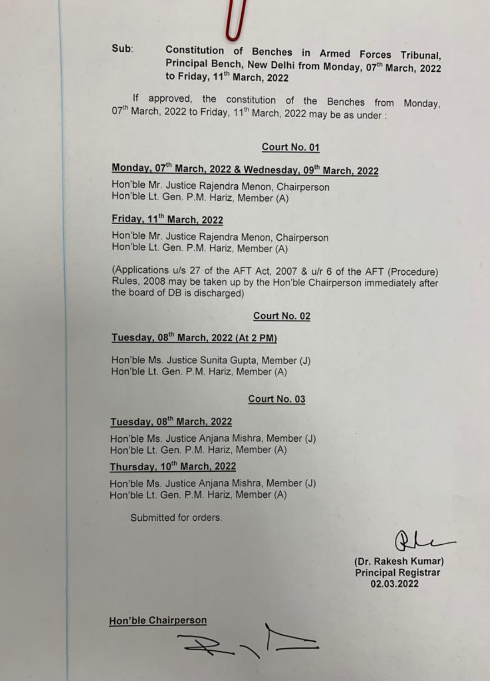$Sub:$ 

Constitution of Benches in Armed Forces Tribunal, Principal Bench, New Delhi from Monday, 07th March, 2022 to Friday, 11<sup>th</sup> March, 2022

If approved, the constitution of the Benches from Monday, 07<sup>th</sup> March, 2022 to Friday, 11<sup>th</sup> March, 2022 may be as under:

### Court No. 01

# Monday, 07th March, 2022 & Wednesday, 09th March, 2022

Hon'ble Mr. Justice Rajendra Menon, Chairperson Hon'ble Lt. Gen. P.M. Hariz, Member (A)

### Friday, 11<sup>th</sup> March, 2022

Hon'ble Mr. Justice Rajendra Menon, Chairperson Hon'ble Lt. Gen. P.M. Hariz, Member (A)

(Applications u/s 27 of the AFT Act, 2007 & u/r 6 of the AFT (Procedure) Rules, 2008 may be taken up by the Hon'ble Chairperson immediately after the board of DB is discharged)

### Court No. 02

## Tuesday, 08th March, 2022 (At 2 PM)

Hon'ble Ms. Justice Sunita Gupta, Member (J) Hon'ble Lt. Gen. P.M. Hariz, Member (A)

### Court No. 03

### Tuesday, 08<sup>th</sup> March, 2022

Hon'ble Ms. Justice Anjana Mishra, Member (J) Hon'ble Lt. Gen. P.M. Hariz, Member (A)

### Thursday, 10th March, 2022

Hon'ble Ms. Justice Anjana Mishra, Member (J) Hon'ble Lt. Gen. P.M. Hariz, Member (A)

Submitted for orders.

(Dr. Rakesh Kumar) **Principal Registrar** 02.03.2022

**Hon'ble Chairperson**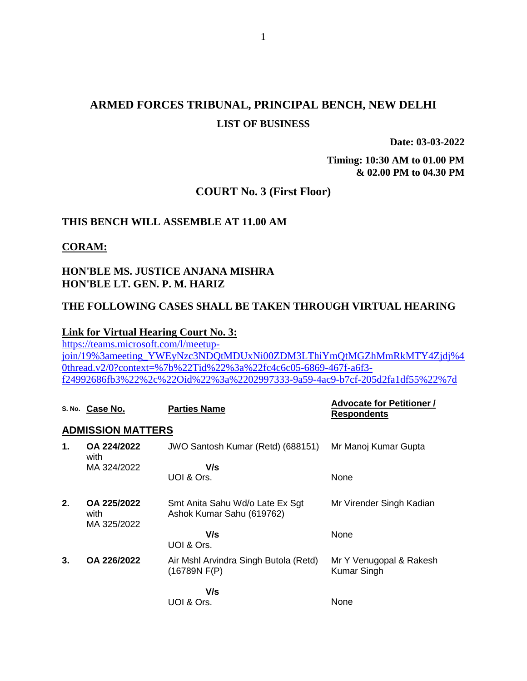### **ARMED FORCES TRIBUNAL, PRINCIPAL BENCH, NEW DELHI LIST OF BUSINESS**

**Date: 03-03-2022**

**Timing: 10:30 AM to 01.00 PM & 02.00 PM to 04.30 PM**

#### **COURT No. 3 (First Floor)**

#### **THIS BENCH WILL ASSEMBLE AT 11.00 AM**

#### **CORAM:**

#### **HON'BLE MS. JUSTICE ANJANA MISHRA HON'BLE LT. GEN. P. M. HARIZ**

#### **THE FOLLOWING CASES SHALL BE TAKEN THROUGH VIRTUAL HEARING**

#### **Link for Virtual Hearing Court No. 3:**

[https://teams.microsoft.com/l/meetup](https://teams.microsoft.com/l/meetup-join/19%3ameeting_YWEyNzc3NDQtMDUxNi00ZDM3LThiYmQtMGZhMmRkMTY4Zjdj%40thread.v2/0?context=%7b%22Tid%22%3a%22fc4c6c05-6869-467f-a6f3-f24992686fb3%22%2c%22Oid%22%3a%2202997333-9a59-4ac9-b7cf-205d2fa1df55%22%7d)[join/19%3ameeting\\_YWEyNzc3NDQtMDUxNi00ZDM3LThiYmQtMGZhMmRkMTY4Zjdj%4](https://teams.microsoft.com/l/meetup-join/19%3ameeting_YWEyNzc3NDQtMDUxNi00ZDM3LThiYmQtMGZhMmRkMTY4Zjdj%40thread.v2/0?context=%7b%22Tid%22%3a%22fc4c6c05-6869-467f-a6f3-f24992686fb3%22%2c%22Oid%22%3a%2202997333-9a59-4ac9-b7cf-205d2fa1df55%22%7d) [0thread.v2/0?context=%7b%22Tid%22%3a%22fc4c6c05-6869-467f-a6f3](https://teams.microsoft.com/l/meetup-join/19%3ameeting_YWEyNzc3NDQtMDUxNi00ZDM3LThiYmQtMGZhMmRkMTY4Zjdj%40thread.v2/0?context=%7b%22Tid%22%3a%22fc4c6c05-6869-467f-a6f3-f24992686fb3%22%2c%22Oid%22%3a%2202997333-9a59-4ac9-b7cf-205d2fa1df55%22%7d) [f24992686fb3%22%2c%22Oid%22%3a%2202997333-9a59-4ac9-b7cf-205d2fa1df55%22%7d](https://teams.microsoft.com/l/meetup-join/19%3ameeting_YWEyNzc3NDQtMDUxNi00ZDM3LThiYmQtMGZhMmRkMTY4Zjdj%40thread.v2/0?context=%7b%22Tid%22%3a%22fc4c6c05-6869-467f-a6f3-f24992686fb3%22%2c%22Oid%22%3a%2202997333-9a59-4ac9-b7cf-205d2fa1df55%22%7d)

|    | S. No. Case No.                    | <b>Parties Name</b>                                          | <b>Advocate for Petitioner /</b><br><b>Respondents</b> |
|----|------------------------------------|--------------------------------------------------------------|--------------------------------------------------------|
|    | <b>ADMISSION MATTERS</b>           |                                                              |                                                        |
| 1. | OA 224/2022<br>with                | JWO Santosh Kumar (Retd) (688151)                            | Mr Manoj Kumar Gupta                                   |
|    | MA 324/2022                        | V/s                                                          |                                                        |
|    |                                    | UOI & Ors.                                                   | None                                                   |
| 2. | OA 225/2022<br>with<br>MA 325/2022 | Smt Anita Sahu Wd/o Late Ex Sgt<br>Ashok Kumar Sahu (619762) | Mr Virender Singh Kadian                               |
|    |                                    | V/s<br>UOI & Ors.                                            | None                                                   |
| 3. | OA 226/2022                        | Air Mshl Arvindra Singh Butola (Retd)<br>(16789N F(P))       | Mr Y Venugopal & Rakesh<br><b>Kumar Singh</b>          |
|    |                                    | V/s                                                          |                                                        |
|    |                                    | UOI & Ors.                                                   | None                                                   |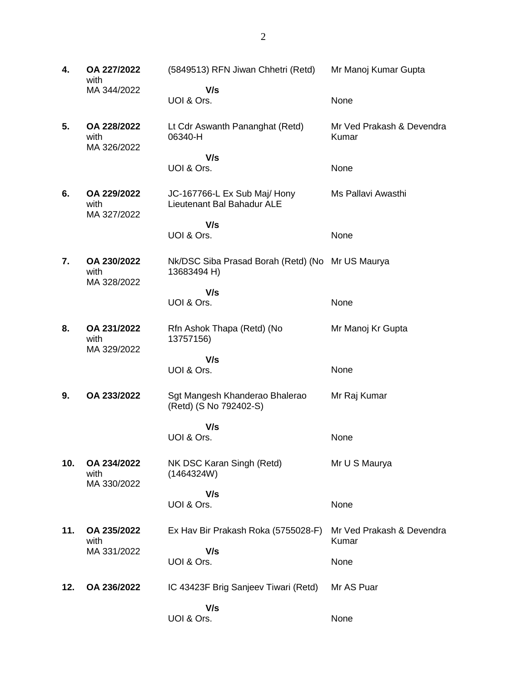| 4.  | OA 227/2022<br>with                | (5849513) RFN Jiwan Chhetri (Retd)                              | Mr Manoj Kumar Gupta               |
|-----|------------------------------------|-----------------------------------------------------------------|------------------------------------|
|     | MA 344/2022                        | V/s<br>UOI & Ors.                                               | None                               |
| 5.  | OA 228/2022<br>with<br>MA 326/2022 | Lt Cdr Aswanth Pananghat (Retd)<br>06340-H                      | Mr Ved Prakash & Devendra<br>Kumar |
|     |                                    | V/s<br>UOI & Ors.                                               | None                               |
| 6.  | OA 229/2022<br>with<br>MA 327/2022 | JC-167766-L Ex Sub Maj/ Hony<br>Lieutenant Bal Bahadur ALE      | Ms Pallavi Awasthi                 |
|     |                                    | V/s<br>UOI & Ors.                                               | None                               |
| 7.  | OA 230/2022<br>with<br>MA 328/2022 | Nk/DSC Siba Prasad Borah (Retd) (No Mr US Maurya<br>13683494 H) |                                    |
|     |                                    | V/s<br>UOI & Ors.                                               | None                               |
| 8.  | OA 231/2022<br>with                | Rfn Ashok Thapa (Retd) (No<br>13757156)                         | Mr Manoj Kr Gupta                  |
|     | MA 329/2022                        | V/s<br>UOI & Ors.                                               | None                               |
| 9.  | OA 233/2022                        | Sgt Mangesh Khanderao Bhalerao<br>(Retd) (S No 792402-S)        | Mr Raj Kumar                       |
|     |                                    | V/s<br>UOI & Ors.                                               | None                               |
| 10. | OA 234/2022<br>with                | NK DSC Karan Singh (Retd)<br>(1464324W)                         | Mr U S Maurya                      |
|     | MA 330/2022                        | V/s<br>UOI & Ors.                                               | None                               |
| 11. | OA 235/2022<br>with                | Ex Hav Bir Prakash Roka (5755028-F)                             | Mr Ved Prakash & Devendra<br>Kumar |
|     | MA 331/2022                        | V/s<br>UOI & Ors.                                               | None                               |
| 12. | OA 236/2022                        | IC 43423F Brig Sanjeev Tiwari (Retd)                            | Mr AS Puar                         |
|     |                                    | V/s<br>UOI & Ors.                                               | None                               |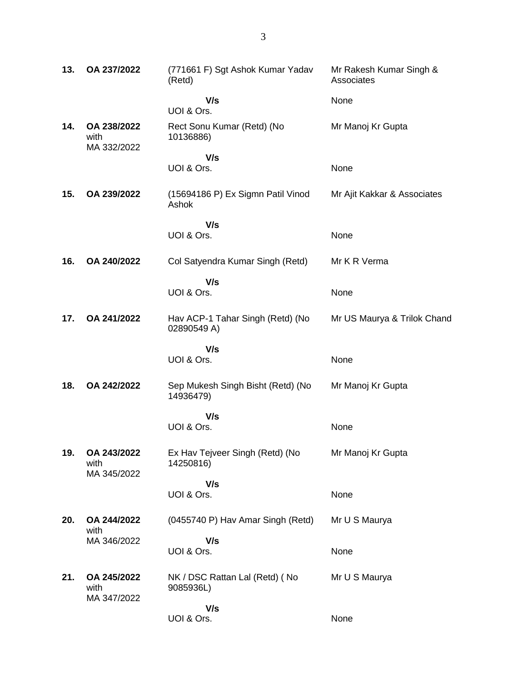| 13. | OA 237/2022                        | (771661 F) Sgt Ashok Kumar Yadav<br>(Retd)      | Mr Rakesh Kumar Singh &<br>Associates |
|-----|------------------------------------|-------------------------------------------------|---------------------------------------|
|     |                                    | V/s<br>UOI & Ors.                               | None                                  |
| 14. | OA 238/2022<br>with<br>MA 332/2022 | Rect Sonu Kumar (Retd) (No<br>10136886)         | Mr Manoj Kr Gupta                     |
|     |                                    | V/s<br>UOI & Ors.                               | None                                  |
| 15. | OA 239/2022                        | (15694186 P) Ex Sigmn Patil Vinod<br>Ashok      | Mr Ajit Kakkar & Associates           |
|     |                                    | V/s<br>UOI & Ors.                               | None                                  |
|     |                                    |                                                 |                                       |
| 16. | OA 240/2022                        | Col Satyendra Kumar Singh (Retd)                | Mr K R Verma                          |
|     |                                    | V/s<br>UOI & Ors.                               | None                                  |
| 17. | OA 241/2022                        | Hav ACP-1 Tahar Singh (Retd) (No<br>02890549 A) | Mr US Maurya & Trilok Chand           |
|     |                                    | V/s<br>UOI & Ors.                               | None                                  |
| 18. | OA 242/2022                        | Sep Mukesh Singh Bisht (Retd) (No<br>14936479)  | Mr Manoj Kr Gupta                     |
|     |                                    | V/s<br>UOI & Ors.                               | None                                  |
| 19. | OA 243/2022<br>with<br>MA 345/2022 | Ex Hav Tejveer Singh (Retd) (No<br>14250816)    | Mr Manoj Kr Gupta                     |
|     |                                    | V/s<br>UOI & Ors.                               | None                                  |
| 20. | OA 244/2022<br>with                | (0455740 P) Hav Amar Singh (Retd)               | Mr U S Maurya                         |
|     | MA 346/2022                        | V/s                                             |                                       |
|     |                                    | UOI & Ors.                                      | None                                  |
| 21. | OA 245/2022<br>with<br>MA 347/2022 | NK / DSC Rattan Lal (Retd) (No<br>9085936L)     | Mr U S Maurya                         |
|     |                                    | V/s<br>UOI & Ors.                               | None                                  |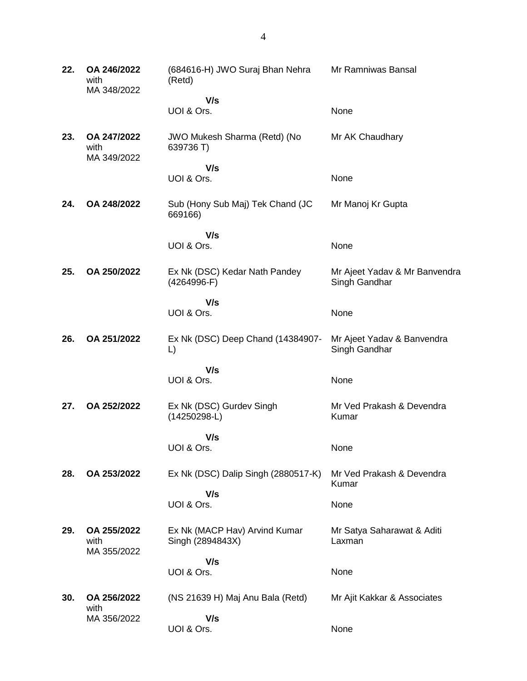| 22. | OA 246/2022<br>with<br>MA 348/2022 | (684616-H) JWO Suraj Bhan Nehra<br>(Retd)         | Mr Ramniwas Bansal                             |
|-----|------------------------------------|---------------------------------------------------|------------------------------------------------|
|     |                                    | V/s                                               |                                                |
|     |                                    | UOI & Ors.                                        | None                                           |
| 23. | OA 247/2022<br>with<br>MA 349/2022 | JWO Mukesh Sharma (Retd) (No<br>639736 T)         | Mr AK Chaudhary                                |
|     |                                    | V/s                                               |                                                |
|     |                                    | UOI & Ors.                                        | None                                           |
| 24. | OA 248/2022                        | Sub (Hony Sub Maj) Tek Chand (JC<br>669166)       | Mr Manoj Kr Gupta                              |
|     |                                    | V/s                                               |                                                |
|     |                                    | UOI & Ors.                                        | None                                           |
| 25. | OA 250/2022                        | Ex Nk (DSC) Kedar Nath Pandey<br>$(4264996-F)$    | Mr Ajeet Yadav & Mr Banvendra<br>Singh Gandhar |
|     |                                    | V/s                                               |                                                |
|     |                                    | UOI & Ors.                                        | None                                           |
| 26. | OA 251/2022                        | Ex Nk (DSC) Deep Chand (14384907-<br>L)           | Mr Ajeet Yadav & Banvendra<br>Singh Gandhar    |
|     |                                    | V/s                                               |                                                |
|     |                                    | UOI & Ors.                                        | None                                           |
| 27. | OA 252/2022                        | Ex Nk (DSC) Gurdev Singh<br>$(14250298-L)$        | Mr Ved Prakash & Devendra<br>Kumar             |
|     |                                    | V/s                                               |                                                |
|     |                                    | UOI & Ors.                                        | None                                           |
| 28. | OA 253/2022                        | Ex Nk (DSC) Dalip Singh (2880517-K)               | Mr Ved Prakash & Devendra<br>Kumar             |
|     |                                    | V/s                                               |                                                |
|     |                                    | UOI & Ors.                                        | None                                           |
| 29. | OA 255/2022<br>with<br>MA 355/2022 | Ex Nk (MACP Hav) Arvind Kumar<br>Singh (2894843X) | Mr Satya Saharawat & Aditi<br>Laxman           |
|     |                                    | V/s                                               |                                                |
|     |                                    | UOI & Ors.                                        | None                                           |
| 30. | OA 256/2022<br>with                | (NS 21639 H) Maj Anu Bala (Retd)                  | Mr Ajit Kakkar & Associates                    |
|     | MA 356/2022                        | V/s                                               |                                                |
|     |                                    | UOI & Ors.                                        | None                                           |
|     |                                    |                                                   |                                                |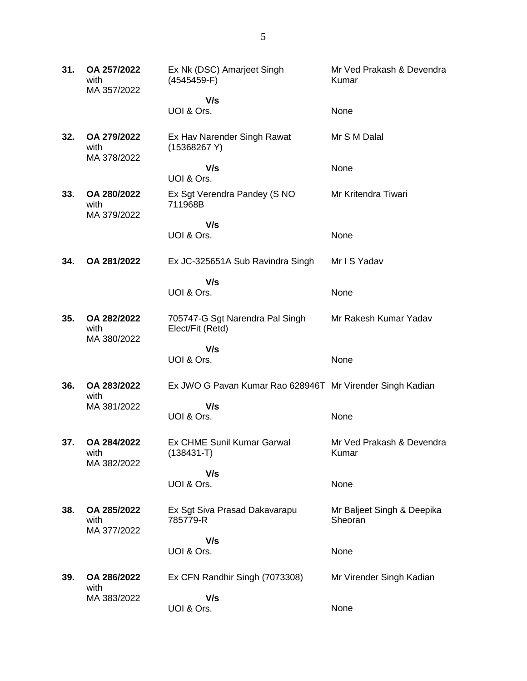| 31. | OA 257/2022<br>with<br>MA 357/2022 | Ex Nk (DSC) Amarjeet Singh<br>$(4545459-F)$               | Mr Ved Prakash & Devendra<br>Kumar    |
|-----|------------------------------------|-----------------------------------------------------------|---------------------------------------|
|     |                                    | V/s                                                       |                                       |
|     |                                    | UOI & Ors.                                                | None                                  |
| 32. | OA 279/2022<br>with<br>MA 378/2022 | Ex Hav Narender Singh Rawat<br>(15368267 Y)               | Mr S M Dalal                          |
|     |                                    | V/s<br>UOI & Ors.                                         | None                                  |
| 33. | OA 280/2022<br>with<br>MA 379/2022 | Ex Sgt Verendra Pandey (S NO<br>711968B                   | Mr Kritendra Tiwari                   |
|     |                                    | V/s<br>UOI & Ors.                                         | None                                  |
| 34. | OA 281/2022                        | Ex JC-325651A Sub Ravindra Singh                          | Mr I S Yadav                          |
|     |                                    | V/s<br>UOI & Ors.                                         | None                                  |
| 35. | OA 282/2022<br>with<br>MA 380/2022 | 705747-G Sgt Narendra Pal Singh<br>Elect/Fit (Retd)       | Mr Rakesh Kumar Yadav                 |
|     |                                    | V/s                                                       |                                       |
|     |                                    | UOI & Ors.                                                | None                                  |
| 36. | OA 283/2022<br>with                | Ex JWO G Pavan Kumar Rao 628946T Mr Virender Singh Kadian |                                       |
|     | MA 381/2022                        | V/s<br>UOI & Ors.                                         | None                                  |
| 37. | OA 284/2022<br>with<br>MA 382/2022 | <b>Ex CHME Sunil Kumar Garwal</b><br>$(138431 - T)$       | Mr Ved Prakash & Devendra<br>Kumar    |
|     |                                    | V/s                                                       |                                       |
|     |                                    | UOI & Ors.                                                | None                                  |
| 38. | OA 285/2022<br>with<br>MA 377/2022 | Ex Sgt Siva Prasad Dakavarapu<br>785779-R                 | Mr Baljeet Singh & Deepika<br>Sheoran |
|     |                                    | V/s                                                       |                                       |
|     |                                    | UOI & Ors.                                                | None                                  |
| 39. | OA 286/2022<br>with                | Ex CFN Randhir Singh (7073308)                            | Mr Virender Singh Kadian              |
|     | MA 383/2022                        | V/s                                                       |                                       |
|     |                                    | UOI & Ors.                                                | None                                  |